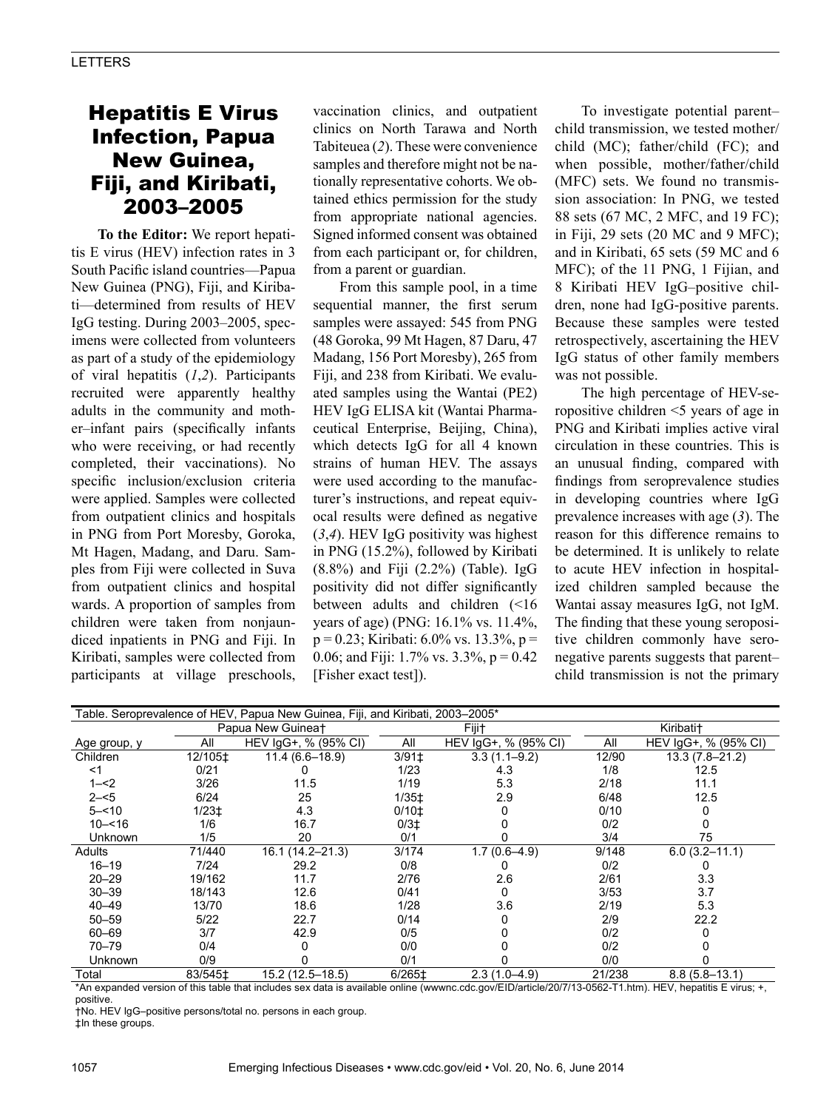# Hepatitis E Virus Infection, Papua New Guinea, Fiji, and Kiribati, 2003–2005

**To the Editor:** We report hepatitis E virus (HEV) infection rates in 3 South Pacific island countries—Papua New Guinea (PNG), Fiji, and Kiribati—determined from results of HEV IgG testing. During 2003–2005, specimens were collected from volunteers as part of a study of the epidemiology of viral hepatitis (*1*,*2*). Participants recruited were apparently healthy adults in the community and mother–infant pairs (specifically infants who were receiving, or had recently completed, their vaccinations). No specific inclusion/exclusion criteria were applied. Samples were collected from outpatient clinics and hospitals in PNG from Port Moresby, Goroka, Mt Hagen, Madang, and Daru. Samples from Fiji were collected in Suva from outpatient clinics and hospital wards. A proportion of samples from children were taken from nonjaundiced inpatients in PNG and Fiji. In Kiribati, samples were collected from participants at village preschools,

vaccination clinics, and outpatient clinics on North Tarawa and North Tabiteuea (*2*). These were convenience samples and therefore might not be nationally representative cohorts. We obtained ethics permission for the study from appropriate national agencies. Signed informed consent was obtained from each participant or, for children, from a parent or guardian.

From this sample pool, in a time sequential manner, the first serum samples were assayed: 545 from PNG (48 Goroka, 99 Mt Hagen, 87 Daru, 47 Madang, 156 Port Moresby), 265 from Fiji, and 238 from Kiribati. We evaluated samples using the Wantai (PE2) HEV IgG ELISA kit (Wantai Pharmaceutical Enterprise, Beijing, China), which detects IgG for all 4 known strains of human HEV. The assays were used according to the manufacturer's instructions, and repeat equivocal results were defined as negative (*3*,*4*). HEV IgG positivity was highest in PNG (15.2%), followed by Kiribati (8.8%) and Fiji (2.2%) (Table). IgG positivity did not differ significantly between adults and children (<16 years of age) (PNG: 16.1% vs. 11.4%,  $p = 0.23$ ; Kiribati: 6.0% vs. 13.3%,  $p =$ 0.06; and Fiji: 1.7% vs.  $3.3\%$ , p = 0.42 [Fisher exact test]).

To investigate potential parent– child transmission, we tested mother/ child (MC); father/child (FC); and when possible, mother/father/child (MFC) sets. We found no transmission association: In PNG, we tested 88 sets (67 MC, 2 MFC, and 19 FC); in Fiji, 29 sets (20 MC and 9 MFC); and in Kiribati, 65 sets (59 MC and 6 MFC); of the 11 PNG, 1 Fijian, and 8 Kiribati HEV IgG–positive children, none had IgG-positive parents. Because these samples were tested retrospectively, ascertaining the HEV IgG status of other family members was not possible.

The high percentage of HEV-seropositive children <5 years of age in PNG and Kiribati implies active viral circulation in these countries. This is an unusual finding, compared with findings from seroprevalence studies in developing countries where IgG prevalence increases with age (*3*). The reason for this difference remains to be determined. It is unlikely to relate to acute HEV infection in hospitalized children sampled because the Wantai assay measures IgG, not IgM. The finding that these young seropositive children commonly have seronegative parents suggests that parent– child transmission is not the primary

| Table. Seroprevalence of HEV, Papua New Guinea, Fiji, and Kiribati, 2003-2005* |                               |                      |                     |                      |                       |                      |
|--------------------------------------------------------------------------------|-------------------------------|----------------------|---------------------|----------------------|-----------------------|----------------------|
|                                                                                | Papua New Guinea <sup>+</sup> |                      | Fiji†               |                      | Kiribati <sup>+</sup> |                      |
| Age group, y                                                                   | All                           | HEV IgG+, % (95% CI) | All                 | HEV IgG+, % (95% CI) | All                   | HEV IgG+, % (95% CI) |
| Children                                                                       | 12/105‡                       | $11.4(6.6 - 18.9)$   | $3/91$ <sup>±</sup> | $3.3(1.1 - 9.2)$     | 12/90                 | $13.3(7.8 - 21.2)$   |
| <1                                                                             | 0/21                          |                      | 1/23                | 4.3                  | 1/8                   | 12.5                 |
| $1 - 2$                                                                        | 3/26                          | 11.5                 | 1/19                | 5.3                  | 2/18                  | 11.1                 |
| $2 - 5$                                                                        | 6/24                          | 25                   | $1/35+$             | 2.9                  | 6/48                  | 12.5                 |
| $5 - 10$                                                                       | $1/23+$                       | 4.3                  | $0/10$ <sup>±</sup> |                      | 0/10                  |                      |
| $10 - 516$                                                                     | 1/6                           | 16.7                 | 0/3 <sup>±</sup>    |                      | 0/2                   |                      |
| Unknown                                                                        | 1/5                           | 20                   | 0/1                 |                      | 3/4                   | 75                   |
| Adults                                                                         | 71/440                        | 16.1 (14.2-21.3)     | 3/174               | $1.7(0.6 - 4.9)$     | 9/148                 | $6.0(3.2 - 11.1)$    |
| $16 - 19$                                                                      | 7/24                          | 29.2                 | 0/8                 |                      | 0/2                   |                      |
| $20 - 29$                                                                      | 19/162                        | 11.7                 | 2/76                | 2.6                  | 2/61                  | 3.3                  |
| $30 - 39$                                                                      | 18/143                        | 12.6                 | 0/41                |                      | 3/53                  | 3.7                  |
| $40 - 49$                                                                      | 13/70                         | 18.6                 | 1/28                | 3.6                  | 2/19                  | 5.3                  |
| $50 - 59$                                                                      | 5/22                          | 22.7                 | 0/14                |                      | 2/9                   | 22.2                 |
| 60-69                                                                          | 3/7                           | 42.9                 | 0/5                 |                      | 0/2                   |                      |
| $70 - 79$                                                                      | 0/4                           |                      | 0/0                 |                      | 0/2                   |                      |
| <b>Unknown</b>                                                                 | 0/9                           |                      | 0/1                 |                      | 0/0                   |                      |
| Total                                                                          | 83/545‡                       | 15.2 (12.5-18.5)     | 6/265‡              | $2.3(1.0-4.9)$       | 21/238                | $8.8(5.8 - 13.1)$    |

\*An expanded version of this table that includes sex data is available online (wwwnc.cdc.gov/EID/article/20/7/13-0562-T1.htm). HEV, hepatitis E virus; +, positive.

†No. HEV IgG–positive persons/total no. persons in each group.